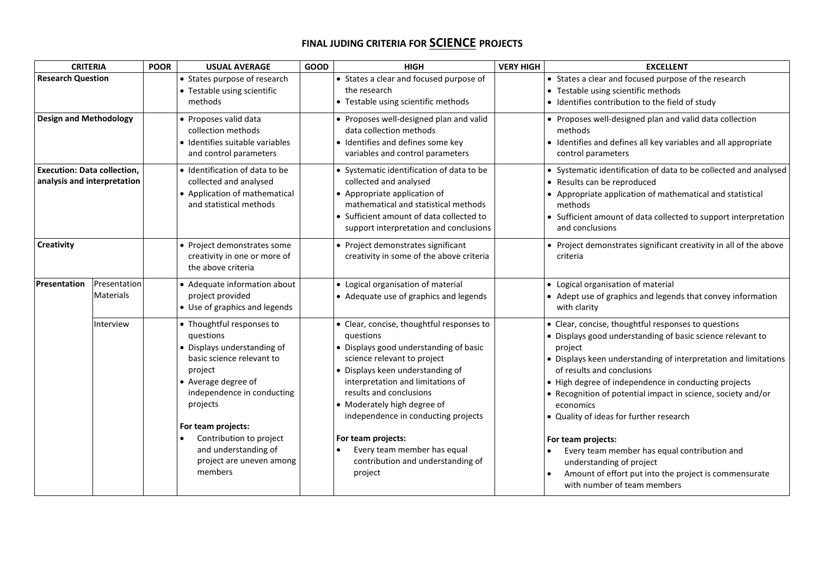## **FINAL JUDING CRITERIA FOR SCIENCE PROJECTS**

| <b>CRITERIA</b>                                                   |                                  | <b>POOR</b> | <b>USUAL AVERAGE</b>                                                                                                                                                                                                                                                                           | <b>GOOD</b> | <b>HIGH</b>                                                                                                                                                                                                                                                                                                                                                                                                    | <b>VERY HIGH</b> | <b>EXCELLENT</b>                                                                                                                                                                                                                                                                                                                                                                                                                                                                                                                                                                                        |
|-------------------------------------------------------------------|----------------------------------|-------------|------------------------------------------------------------------------------------------------------------------------------------------------------------------------------------------------------------------------------------------------------------------------------------------------|-------------|----------------------------------------------------------------------------------------------------------------------------------------------------------------------------------------------------------------------------------------------------------------------------------------------------------------------------------------------------------------------------------------------------------------|------------------|---------------------------------------------------------------------------------------------------------------------------------------------------------------------------------------------------------------------------------------------------------------------------------------------------------------------------------------------------------------------------------------------------------------------------------------------------------------------------------------------------------------------------------------------------------------------------------------------------------|
| <b>Research Question</b>                                          |                                  |             | • States purpose of research<br>• Testable using scientific<br>methods                                                                                                                                                                                                                         |             | • States a clear and focused purpose of<br>the research<br>• Testable using scientific methods                                                                                                                                                                                                                                                                                                                 |                  | • States a clear and focused purpose of the research<br>• Testable using scientific methods<br>· Identifies contribution to the field of study                                                                                                                                                                                                                                                                                                                                                                                                                                                          |
| <b>Design and Methodology</b>                                     |                                  |             | • Proposes valid data<br>collection methods<br>· Identifies suitable variables<br>and control parameters                                                                                                                                                                                       |             | • Proposes well-designed plan and valid<br>data collection methods<br>· Identifies and defines some key<br>variables and control parameters                                                                                                                                                                                                                                                                    |                  | • Proposes well-designed plan and valid data collection<br>methods<br>• Identifies and defines all key variables and all appropriate<br>control parameters                                                                                                                                                                                                                                                                                                                                                                                                                                              |
| <b>Execution: Data collection,</b><br>analysis and interpretation |                                  |             | · Identification of data to be<br>collected and analysed<br>• Application of mathematical<br>and statistical methods                                                                                                                                                                           |             | • Systematic identification of data to be<br>collected and analysed<br>• Appropriate application of<br>mathematical and statistical methods<br>• Sufficient amount of data collected to<br>support interpretation and conclusions                                                                                                                                                                              |                  | • Systematic identification of data to be collected and analysed<br>• Results can be reproduced<br>• Appropriate application of mathematical and statistical<br>methods<br>• Sufficient amount of data collected to support interpretation<br>and conclusions                                                                                                                                                                                                                                                                                                                                           |
| Creativity                                                        |                                  |             | • Project demonstrates some<br>creativity in one or more of<br>the above criteria                                                                                                                                                                                                              |             | • Project demonstrates significant<br>creativity in some of the above criteria                                                                                                                                                                                                                                                                                                                                 |                  | • Project demonstrates significant creativity in all of the above<br>criteria                                                                                                                                                                                                                                                                                                                                                                                                                                                                                                                           |
| Presentation                                                      | Presentation<br><b>Materials</b> |             | • Adequate information about<br>project provided<br>• Use of graphics and legends                                                                                                                                                                                                              |             | • Logical organisation of material<br>• Adequate use of graphics and legends                                                                                                                                                                                                                                                                                                                                   |                  | • Logical organisation of material<br>• Adept use of graphics and legends that convey information<br>with clarity                                                                                                                                                                                                                                                                                                                                                                                                                                                                                       |
|                                                                   | Interview                        |             | • Thoughtful responses to<br>questions<br>• Displays understanding of<br>basic science relevant to<br>project<br>• Average degree of<br>independence in conducting<br>projects<br>For team projects:<br>Contribution to project<br>and understanding of<br>project are uneven among<br>members |             | • Clear, concise, thoughtful responses to<br>questions<br>• Displays good understanding of basic<br>science relevant to project<br>• Displays keen understanding of<br>interpretation and limitations of<br>results and conclusions<br>• Moderately high degree of<br>independence in conducting projects<br>For team projects:<br>Every team member has equal<br>contribution and understanding of<br>project |                  | • Clear, concise, thoughtful responses to questions<br>• Displays good understanding of basic science relevant to<br>project<br>• Displays keen understanding of interpretation and limitations<br>of results and conclusions<br>• High degree of independence in conducting projects<br>• Recognition of potential impact in science, society and/or<br>economics<br>• Quality of ideas for further research<br>For team projects:<br>Every team member has equal contribution and<br>understanding of project<br>Amount of effort put into the project is commensurate<br>with number of team members |